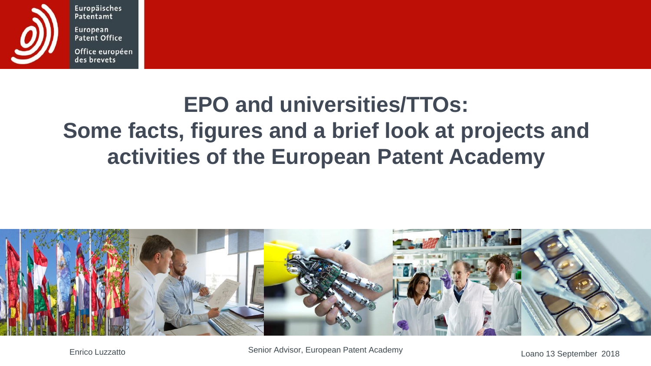

Europäisches Patentamt European Patent Office

Office européen des brevets

#### **EPO and universities/TTOs: Some facts, figures and a brief look at projects and activities of the European Patent Academy**



Enrico Luzzatto **Entrico Luzzatto Entrico Luzzatto Loano 13 September 2018** Changen Batent Academy Changen Batent Academy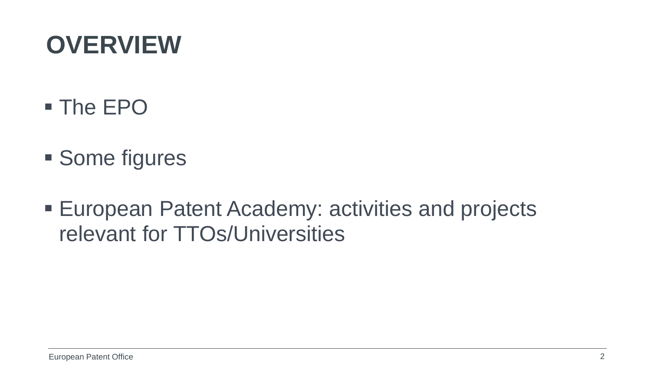# **OVERVIEW**

- The EPO
- **Some figures**
- European Patent Academy: activities and projects relevant for TTOs/Universities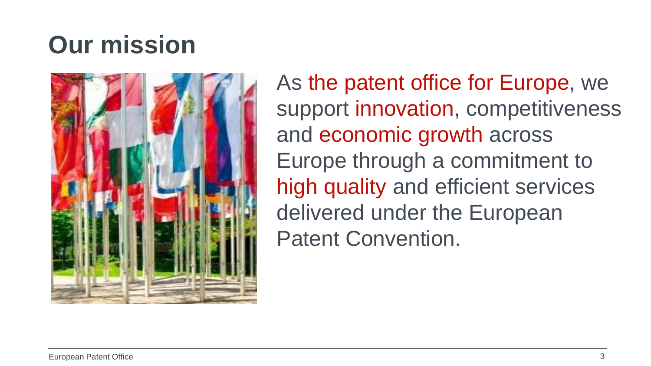# **Our mission**



As the patent office for Europe, we support innovation, competitiveness and economic growth across Europe through a commitment to high quality and efficient services delivered under the European Patent Convention.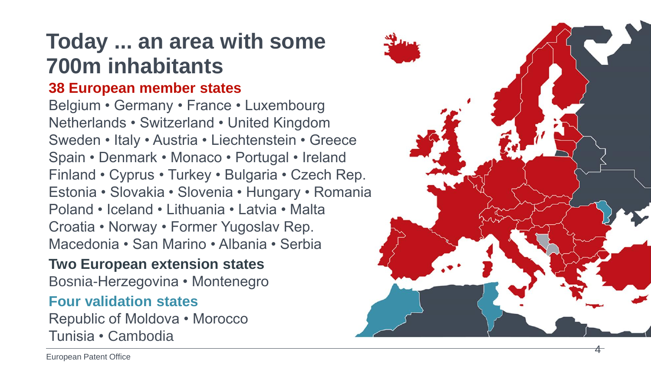#### **Today ... an area with some 700m inhabitants**

#### **38 European member states**

Belgium • Germany • France • Luxembourg Netherlands • Switzerland • United Kingdom Sweden • Italy • Austria • Liechtenstein • Greece Spain • Denmark • Monaco • Portugal • Ireland Finland • Cyprus • Turkey • Bulgaria • Czech Rep. Estonia • Slovakia • Slovenia • Hungary • Romania Poland • Iceland • Lithuania • Latvia • Malta Croatia • Norway • Former Yugoslav Rep. Macedonia • San Marino • Albania • Serbia

#### **Two European extension states**

Bosnia -Herzegovina • Montenegro

#### **Four validation states**

Republic of Moldova • Morocco Tunisia • Cambodia



4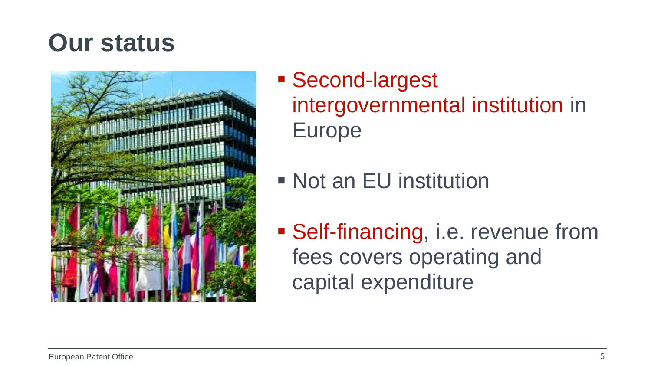### **Our status**



- Second-largest intergovernmental institution in Europe
- Not an EU institution
- **Self-financing, i.e. revenue from** fees covers operating and capital expenditure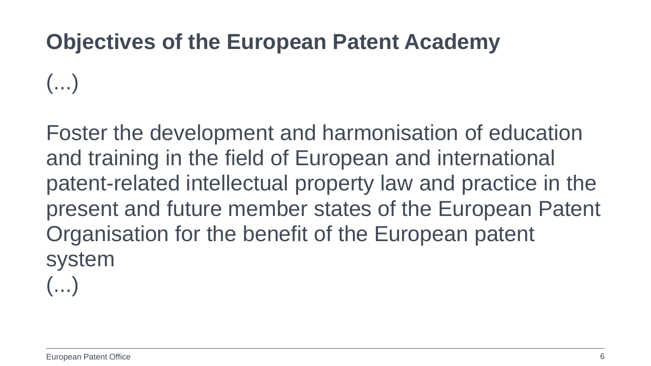#### **Objectives of the European Patent Academy**

 $\left(\ldots\right)$ 

Foster the development and harmonisation of education and training in the field of European and international patent-related intellectual property law and practice in the present and future member states of the European Patent Organisation for the benefit of the European patent system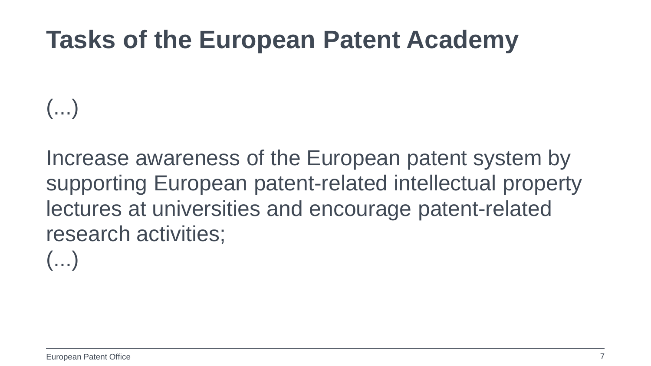## **Tasks of the European Patent Academy**

 $\left(\ldots\right)$ 

Increase awareness of the European patent system by supporting European patent-related intellectual property lectures at universities and encourage patent-related research activities;

 $\left(\ldots\right)$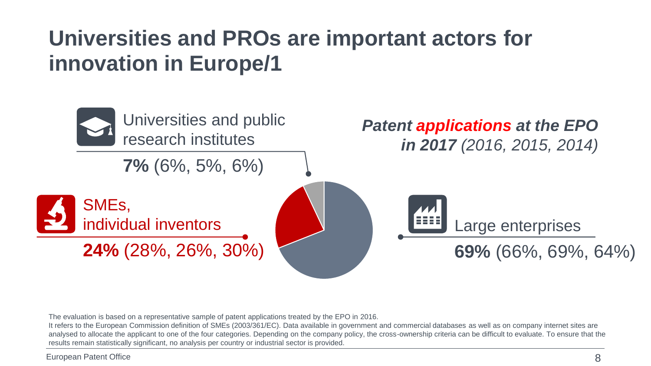#### **Universities and PROs are important actors for innovation in Europe/1**



The evaluation is based on a representative sample of patent applications treated by the EPO in 2016.

It refers to the European Commission definition of SMEs (2003/361/EC). Data available in government and commercial databases as well as on company internet sites are analysed to allocate the applicant to one of the four categories. Depending on the company policy, the cross-ownership criteria can be difficult to evaluate. To ensure that the results remain statistically significant, no analysis per country or industrial sector is provided.

European Patent Office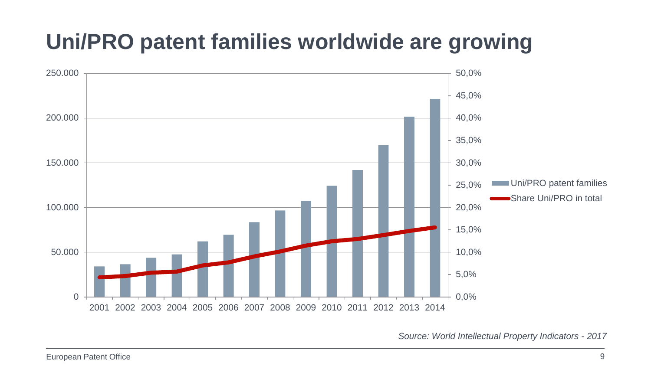### **Uni/PRO patent families worldwide are growing**



*Source: World Intellectual Property Indicators - 2017*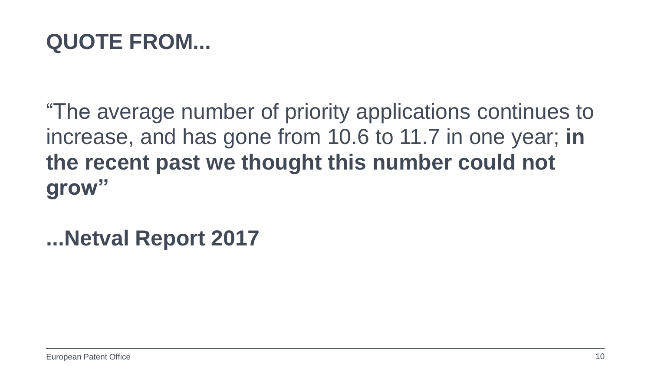#### **QUOTE FROM...**

"The average number of priority applications continues to increase, and has gone from 10.6 to 11.7 in one year; **in the recent past we thought this number could not grow"**

**...Netval Report 2017**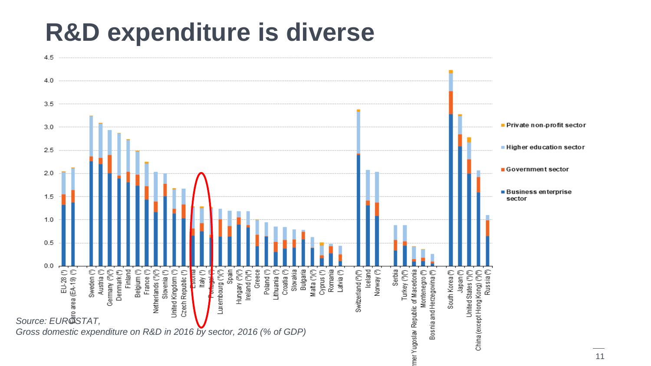## **R&D expenditure is diverse**



11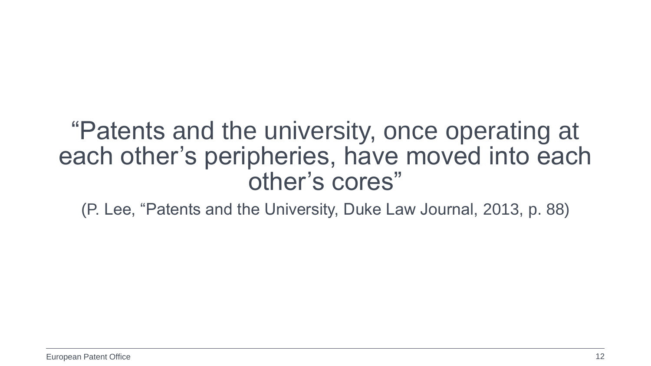#### "Patents and the university, once operating at each other's peripheries, have moved into each other's cores"

(P. Lee, "Patents and the University, Duke Law Journal, 2013, p. 88)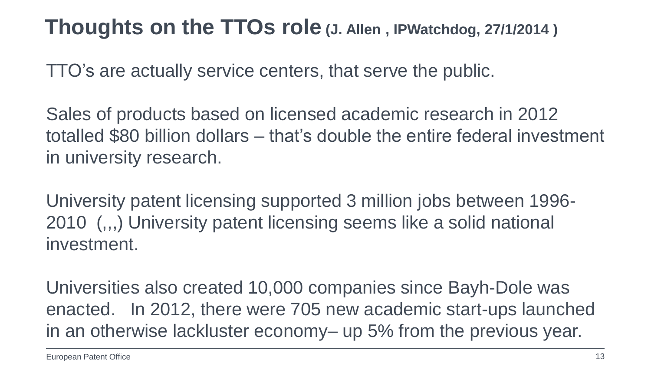#### **Thoughts on the TTOs role (J. Allen , IPWatchdog, 27/1/2014 )**

TTO's are actually service centers, that serve the public.

Sales of products based on licensed academic research in 2012 totalled \$80 billion dollars – that's double the entire federal investment in university research.

University patent licensing supported 3 million jobs between 1996- 2010 (,,,) University patent licensing seems like a solid national investment.

Universities also created 10,000 companies since Bayh-Dole was enacted. In 2012, there were 705 new academic start-ups launched in an otherwise lackluster economy– up 5% from the previous year.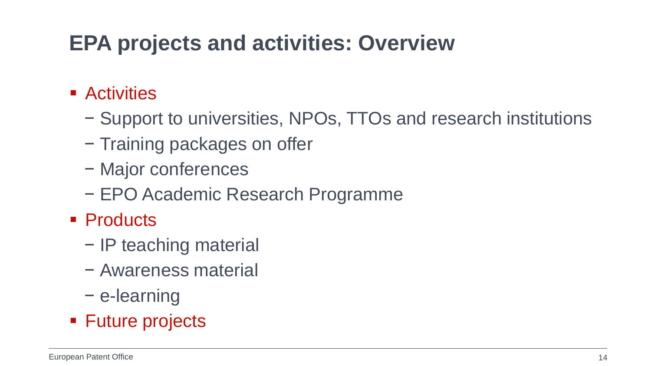#### **EPA projects and activities: Overview**

- **Activities** 
	- − Support to universities, NPOs, TTOs and research institutions
	- − Training packages on offer
	- − Major conferences
	- − EPO Academic Research Programme
- Products
	- − IP teaching material
	- − Awareness material
	- − e-learning
- Future projects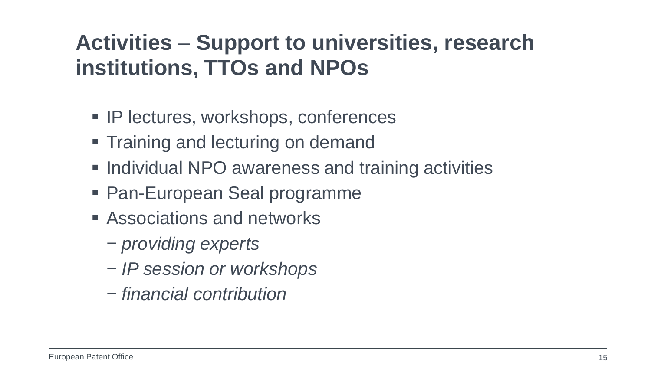#### **Activities** – **Support to universities, research institutions, TTOs and NPOs**

- **IP lectures, workshops, conferences**
- **Training and lecturing on demand**
- **Individual NPO awareness and training activities**
- Pan-European Seal programme
- **E** Associations and networks
	- − *providing experts*
	- − *IP session or workshops*
	- − *financial contribution*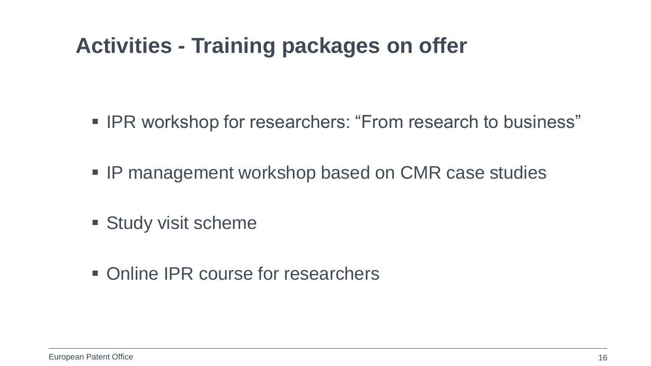#### **Activities - Training packages on offer**

- **IPR workshop for researchers: "From research to business"**
- **IP management workshop based on CMR case studies**
- **Study visit scheme**
- Online IPR course for researchers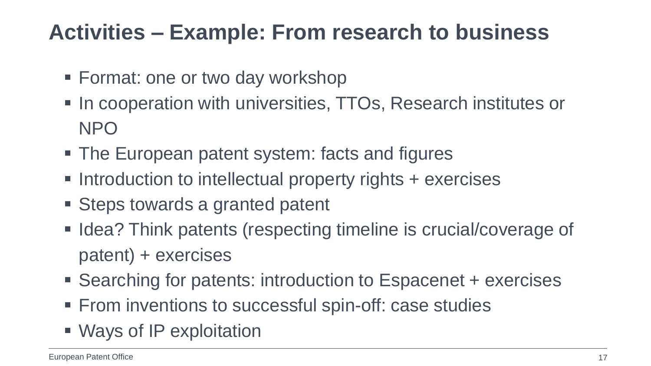#### **Activities – Example: From research to business**

- **Format: one or two day workshop**
- **In cooperation with universities, TTOs, Research institutes or** NPO
- The European patent system: facts and figures
- Introduction to intellectual property rights + exercises
- Steps towards a granted patent
- **Idea? Think patents (respecting timeline is crucial/coverage of** patent) + exercises
- Searching for patents: introduction to Espacenet + exercises
- From inventions to successful spin-off: case studies
- Ways of IP exploitation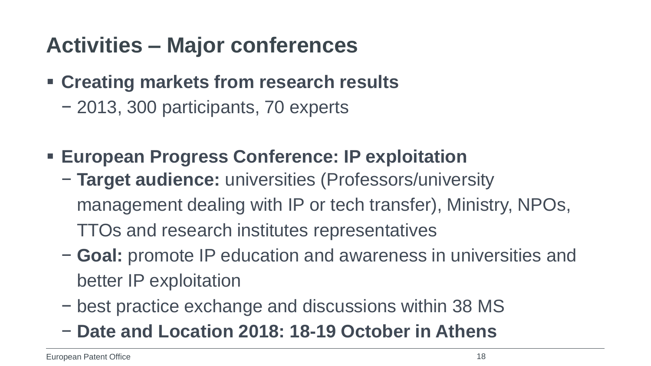### **Activities – Major conferences**

- **Creating markets from research results** 
	- − 2013, 300 participants, 70 experts
- **European Progress Conference: IP exploitation**
	- − **Target audience:** universities (Professors/university management dealing with IP or tech transfer), Ministry, NPOs, TTOs and research institutes representatives
	- − **Goal:** promote IP education and awareness in universities and better IP exploitation
	- − best practice exchange and discussions within 38 MS
	- − **Date and Location 2018: 18-19 October in Athens**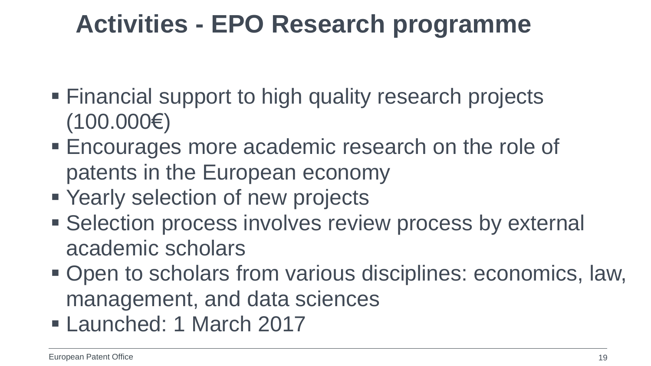## **Activities - EPO Research programme**

- **Financial support to high quality research projects** (100.000€)
- Encourages more academic research on the role of patents in the European economy
- Yearly selection of new projects
- **Selection process involves review process by external** academic scholars
- Open to scholars from various disciplines: economics, law, management, and data sciences
- Launched: 1 March 2017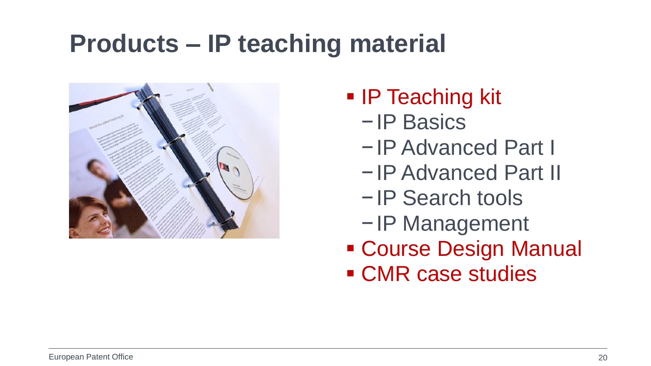## **Products – IP teaching material**



- IP Teaching kit
	- −IP Basics
	- −IP Advanced Part I
	- −IP Advanced Part II
	- −IP Search tools
	- −IP Management
- Course Design Manual
- CMR case studies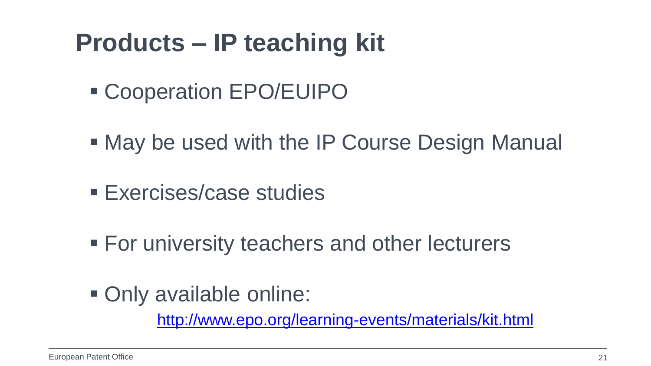## **Products – IP teaching kit**

- Cooperation EPO/EUIPO
- May be used with the IP Course Design Manual
- **Exercises/case studies**
- **For university teachers and other lecturers**
- Only available online:

<http://www.epo.org/learning-events/materials/kit.html>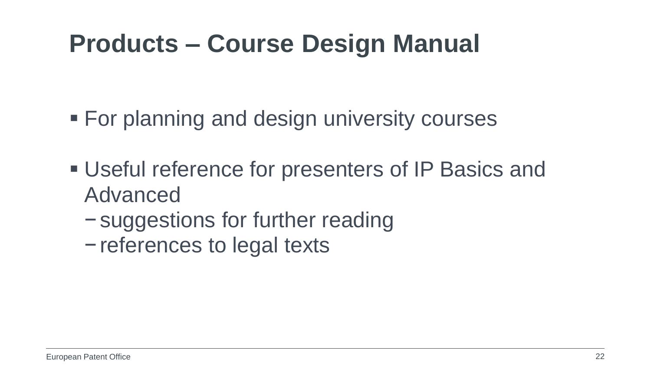## **Products – Course Design Manual**

**For planning and design university courses** 

- Useful reference for presenters of IP Basics and Advanced
	- −suggestions for further reading
	- −references to legal texts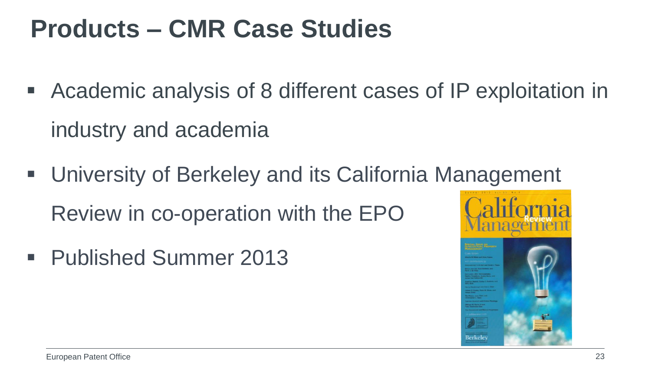## **Products – CMR Case Studies**

- Academic analysis of 8 different cases of IP exploitation in industry and academia
- University of Berkeley and its California Management Review in co-operation with the EPO
- Published Summer 2013

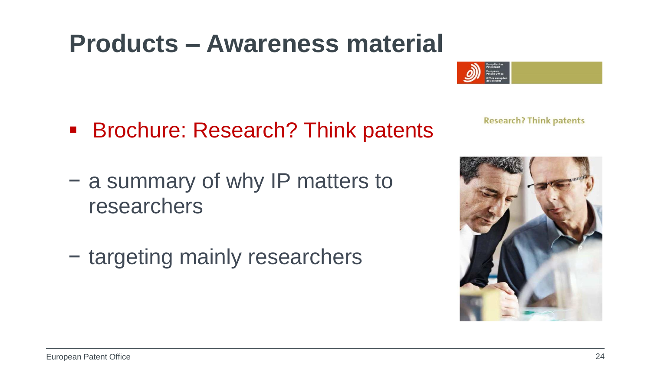## **Products – Awareness material**

**Brochure: Research? Think patents** 

**Research? Think patents** 

- − a summary of why IP matters to researchers
- − targeting mainly researchers

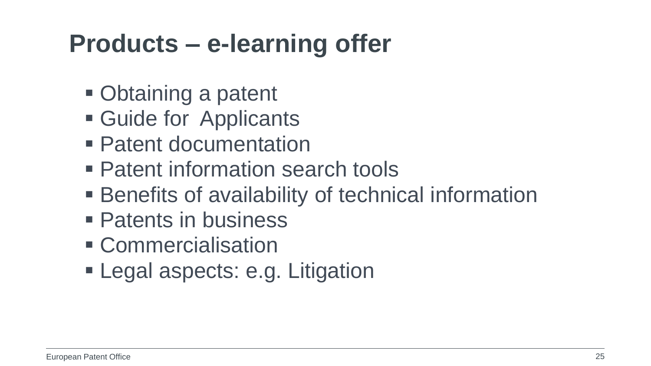## **Products – e-learning offer**

- Obtaining a patent
- Guide for Applicants
- Patent documentation
- Patent information search tools
- Benefits of availability of technical information
- Patents in business
- **Commercialisation**
- **Legal aspects: e.g. Litigation**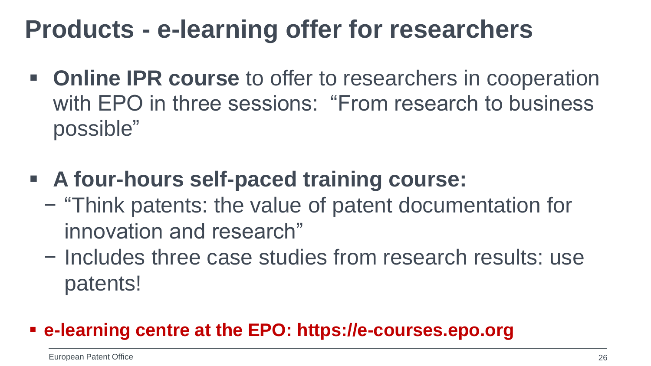## **Products - e-learning offer for researchers**

- **Online IPR course** to offer to researchers in cooperation with EPO in three sessions: "From research to business possible"
- **A four-hours self-paced training course:** 
	- − "Think patents: the value of patent documentation for innovation and research"
	- − Includes three case studies from research results: use patents!

#### **e-learning centre at the EPO: https://e-courses.epo.org**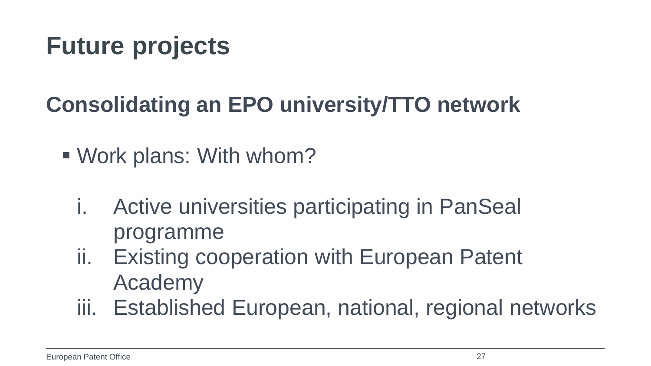### **Consolidating an EPO university/TTO network**

- Work plans: With whom?
	- i. Active universities participating in PanSeal programme
	- ii. Existing cooperation with European Patent Academy
	- iii. Established European, national, regional networks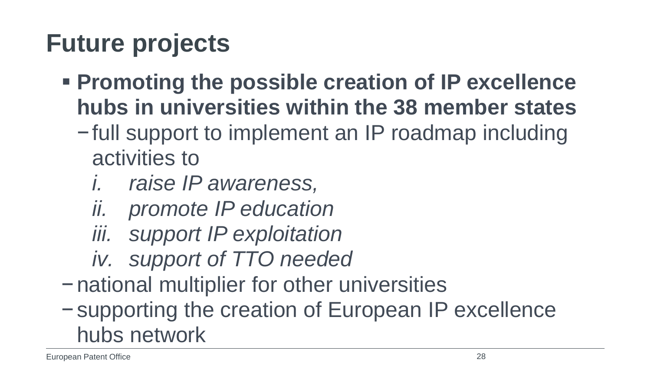- **Promoting the possible creation of IP excellence hubs in universities within the 38 member states**
	- −full support to implement an IP roadmap including activities to
		- *i. raise IP awareness,*
		- *ii. promote IP education*
		- *iii. support IP exploitation*
		- *iv. support of TTO needed*
- −national multiplier for other universities
- −supporting the creation of European IP excellence hubs network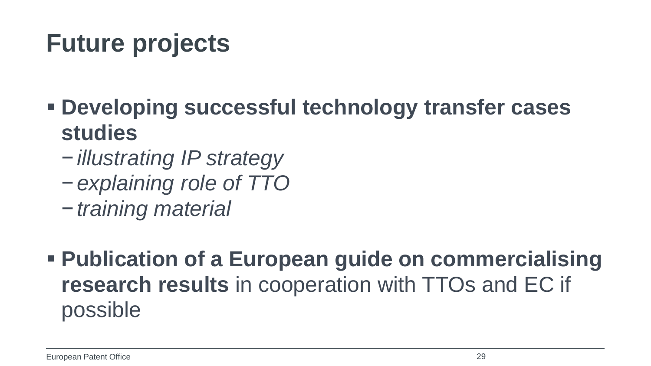- **Developing successful technology transfer cases studies**
	- −*illustrating IP strategy*
	- −*explaining role of TTO*
	- −*training material*
- **Publication of a European guide on commercialising research results** in cooperation with TTOs and EC if possible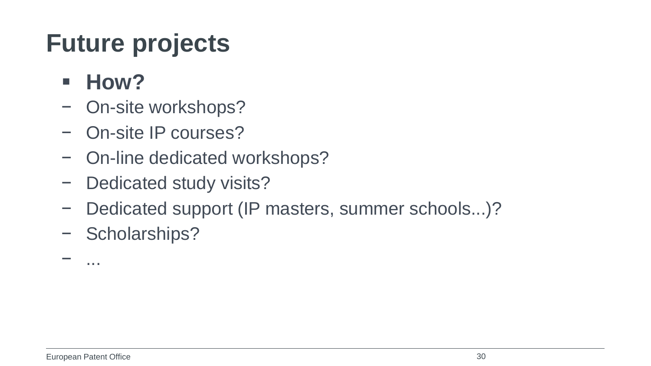- **How?**
- − On-site workshops?
- − On-site IP courses?
- − On-line dedicated workshops?
- − Dedicated study visits?
- − Dedicated support (IP masters, summer schools...)?
- − Scholarships?

− ...